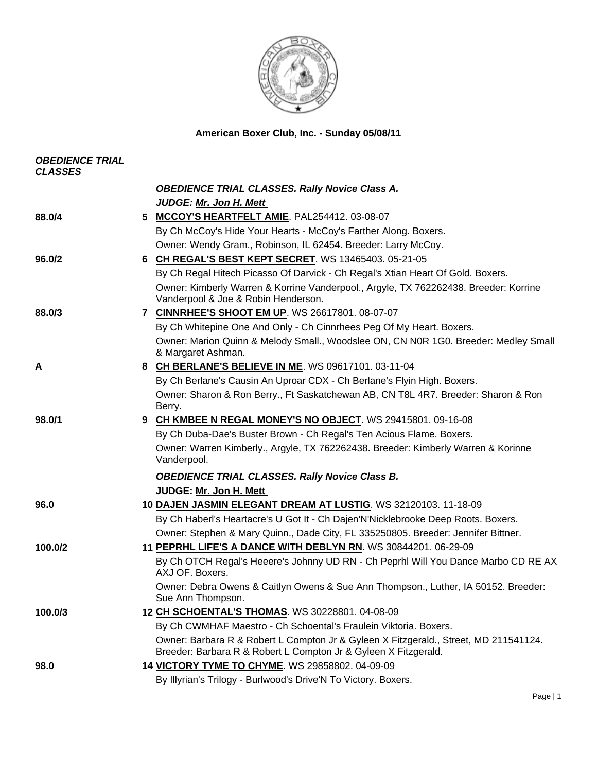

**American Boxer Club, Inc. - Sunday 05/08/11** 

| <b>OBEDIENCE TRIAL</b><br><b>CLASSES</b> |                                                                                                                             |
|------------------------------------------|-----------------------------------------------------------------------------------------------------------------------------|
|                                          | <b>OBEDIENCE TRIAL CLASSES. Rally Novice Class A.</b><br><b>JUDGE: Mr. Jon H. Mett</b>                                      |
| 88.0/4                                   | 5 MCCOY'S HEARTFELT AMIE. PAL254412. 03-08-07                                                                               |
|                                          | By Ch McCoy's Hide Your Hearts - McCoy's Farther Along. Boxers.                                                             |
|                                          | Owner: Wendy Gram., Robinson, IL 62454. Breeder: Larry McCoy.                                                               |
| 96.0/2                                   | 6 CH REGAL'S BEST KEPT SECRET. WS 13465403. 05-21-05                                                                        |
|                                          | By Ch Regal Hitech Picasso Of Darvick - Ch Regal's Xtian Heart Of Gold. Boxers.                                             |
|                                          | Owner: Kimberly Warren & Korrine Vanderpool., Argyle, TX 762262438. Breeder: Korrine<br>Vanderpool & Joe & Robin Henderson. |
| 88.0/3                                   | 7 CINNRHEE'S SHOOT EM UP. WS 26617801. 08-07-07                                                                             |
|                                          | By Ch Whitepine One And Only - Ch Cinnrhees Peg Of My Heart. Boxers.                                                        |
|                                          | Owner: Marion Quinn & Melody Small., Woodslee ON, CN N0R 1G0. Breeder: Medley Small<br>& Margaret Ashman.                   |
| A                                        | 8 CH BERLANE'S BELIEVE IN ME. WS 09617101. 03-11-04                                                                         |
|                                          | By Ch Berlane's Causin An Uproar CDX - Ch Berlane's Flyin High. Boxers.                                                     |
|                                          | Owner: Sharon & Ron Berry., Ft Saskatchewan AB, CN T8L 4R7. Breeder: Sharon & Ron<br>Berry.                                 |
| 98.0/1                                   | 9 CH KMBEE N REGAL MONEY'S NO OBJECT. WS 29415801. 09-16-08                                                                 |
|                                          | By Ch Duba-Dae's Buster Brown - Ch Regal's Ten Acious Flame. Boxers.                                                        |
|                                          | Owner: Warren Kimberly., Argyle, TX 762262438. Breeder: Kimberly Warren & Korinne<br>Vanderpool.                            |
|                                          | <b>OBEDIENCE TRIAL CLASSES. Rally Novice Class B.</b>                                                                       |
|                                          | JUDGE: Mr. Jon H. Mett                                                                                                      |
| 96.0                                     | 10 DAJEN JASMIN ELEGANT DREAM AT LUSTIG. WS 32120103. 11-18-09                                                              |
|                                          | By Ch Haberl's Heartacre's U Got It - Ch Dajen'N'Nicklebrooke Deep Roots. Boxers.                                           |
|                                          | Owner: Stephen & Mary Quinn., Dade City, FL 335250805. Breeder: Jennifer Bittner.                                           |
| 100.0/2                                  | 11 PEPRHL LIFE'S A DANCE WITH DEBLYN RN. WS 30844201. 06-29-09                                                              |
|                                          | By Ch OTCH Regal's Heeere's Johnny UD RN - Ch Peprhl Will You Dance Marbo CD RE AX<br>AXJ OF. Boxers.                       |
|                                          | Owner: Debra Owens & Caitlyn Owens & Sue Ann Thompson., Luther, IA 50152. Breeder:<br>Sue Ann Thompson.                     |
| 100.0/3                                  | 12 CH SCHOENTAL'S THOMAS. WS 30228801. 04-08-09                                                                             |
|                                          | By Ch CWMHAF Maestro - Ch Schoental's Fraulein Viktoria. Boxers.                                                            |
|                                          | Owner: Barbara R & Robert L Compton Jr & Gyleen X Fitzgerald., Street, MD 211541124.                                        |
|                                          | Breeder: Barbara R & Robert L Compton Jr & Gyleen X Fitzgerald.                                                             |
| 98.0                                     | 14 VICTORY TYME TO CHYME. WS 29858802. 04-09-09                                                                             |
|                                          | By Illyrian's Trilogy - Burlwood's Drive'N To Victory. Boxers.                                                              |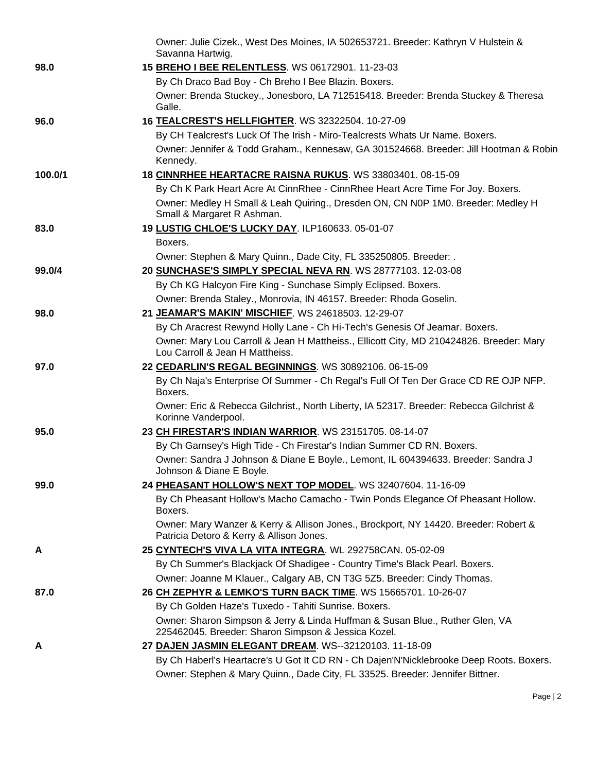|         | Owner: Julie Cizek., West Des Moines, IA 502653721. Breeder: Kathryn V Hulstein &<br>Savanna Hartwig.                               |
|---------|-------------------------------------------------------------------------------------------------------------------------------------|
| 98.0    | 15 BREHO I BEE RELENTLESS. WS 06172901. 11-23-03                                                                                    |
|         | By Ch Draco Bad Boy - Ch Breho I Bee Blazin. Boxers.                                                                                |
|         | Owner: Brenda Stuckey., Jonesboro, LA 712515418. Breeder: Brenda Stuckey & Theresa                                                  |
|         | Galle.                                                                                                                              |
| 96.0    | 16 TEALCREST'S HELLFIGHTER. WS 32322504. 10-27-09                                                                                   |
|         | By CH Tealcrest's Luck Of The Irish - Miro-Tealcrests Whats Ur Name. Boxers.                                                        |
|         | Owner: Jennifer & Todd Graham., Kennesaw, GA 301524668. Breeder: Jill Hootman & Robin<br>Kennedy.                                   |
| 100.0/1 | 18 CINNRHEE HEARTACRE RAISNA RUKUS. WS 33803401. 08-15-09                                                                           |
|         | By Ch K Park Heart Acre At CinnRhee - CinnRhee Heart Acre Time For Joy. Boxers.                                                     |
|         | Owner: Medley H Small & Leah Quiring., Dresden ON, CN N0P 1M0. Breeder: Medley H<br>Small & Margaret R Ashman.                      |
| 83.0    | 19 LUSTIG CHLOE'S LUCKY DAY. ILP160633. 05-01-07                                                                                    |
|         | Boxers.                                                                                                                             |
|         | Owner: Stephen & Mary Quinn., Dade City, FL 335250805. Breeder: .                                                                   |
| 99.0/4  | 20 SUNCHASE'S SIMPLY SPECIAL NEVA RN. WS 28777103. 12-03-08                                                                         |
|         | By Ch KG Halcyon Fire King - Sunchase Simply Eclipsed. Boxers.                                                                      |
|         | Owner: Brenda Staley., Monrovia, IN 46157. Breeder: Rhoda Goselin.                                                                  |
| 98.0    | 21 JEAMAR'S MAKIN' MISCHIEF. WS 24618503. 12-29-07                                                                                  |
|         | By Ch Aracrest Rewynd Holly Lane - Ch Hi-Tech's Genesis Of Jeamar. Boxers.                                                          |
|         | Owner: Mary Lou Carroll & Jean H Mattheiss., Ellicott City, MD 210424826. Breeder: Mary<br>Lou Carroll & Jean H Mattheiss.          |
| 97.0    | 22 CEDARLIN'S REGAL BEGINNINGS. WS 30892106. 06-15-09                                                                               |
|         | By Ch Naja's Enterprise Of Summer - Ch Regal's Full Of Ten Der Grace CD RE OJP NFP.<br>Boxers.                                      |
|         | Owner: Eric & Rebecca Gilchrist., North Liberty, IA 52317. Breeder: Rebecca Gilchrist &<br>Korinne Vanderpool.                      |
| 95.0    | 23 CH FIRESTAR'S INDIAN WARRIOR. WS 23151705. 08-14-07                                                                              |
|         | By Ch Garnsey's High Tide - Ch Firestar's Indian Summer CD RN. Boxers.                                                              |
|         | Owner: Sandra J Johnson & Diane E Boyle., Lemont, IL 604394633. Breeder: Sandra J<br>Johnson & Diane E Bovle.                       |
| 99.0    | 24 PHEASANT HOLLOW'S NEXT TOP MODEL. WS 32407604. 11-16-09                                                                          |
|         | By Ch Pheasant Hollow's Macho Camacho - Twin Ponds Elegance Of Pheasant Hollow.                                                     |
|         | Boxers.                                                                                                                             |
|         | Owner: Mary Wanzer & Kerry & Allison Jones., Brockport, NY 14420. Breeder: Robert &<br>Patricia Detoro & Kerry & Allison Jones.     |
| Α       | 25 CYNTECH'S VIVA LA VITA INTEGRA. WL 292758CAN. 05-02-09                                                                           |
|         | By Ch Summer's Blackjack Of Shadigee - Country Time's Black Pearl. Boxers.                                                          |
|         | Owner: Joanne M Klauer., Calgary AB, CN T3G 5Z5. Breeder: Cindy Thomas.                                                             |
| 87.0    | 26 CH ZEPHYR & LEMKO'S TURN BACK TIME. WS 15665701. 10-26-07                                                                        |
|         | By Ch Golden Haze's Tuxedo - Tahiti Sunrise. Boxers.                                                                                |
|         | Owner: Sharon Simpson & Jerry & Linda Huffman & Susan Blue., Ruther Glen, VA<br>225462045. Breeder: Sharon Simpson & Jessica Kozel. |
| A       | 27 DAJEN JASMIN ELEGANT DREAM. WS--32120103. 11-18-09                                                                               |
|         | By Ch Haberl's Heartacre's U Got It CD RN - Ch Dajen'N'Nicklebrooke Deep Roots. Boxers.                                             |
|         | Owner: Stephen & Mary Quinn., Dade City, FL 33525. Breeder: Jennifer Bittner.                                                       |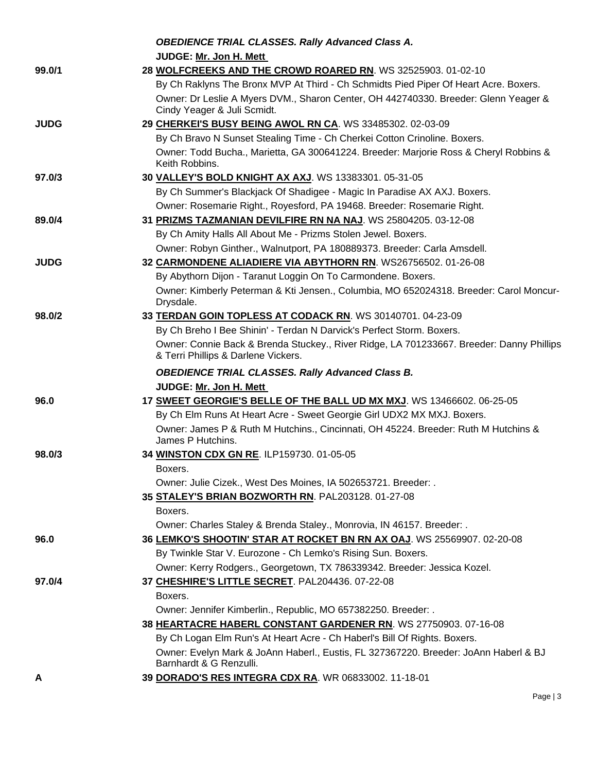|             | <b>OBEDIENCE TRIAL CLASSES. Rally Advanced Class A.</b>                                                                         |
|-------------|---------------------------------------------------------------------------------------------------------------------------------|
|             | JUDGE: Mr. Jon H. Mett                                                                                                          |
| 99.0/1      | 28 WOLFCREEKS AND THE CROWD ROARED RN. WS 32525903. 01-02-10                                                                    |
|             | By Ch Raklyns The Bronx MVP At Third - Ch Schmidts Pied Piper Of Heart Acre. Boxers.                                            |
|             | Owner: Dr Leslie A Myers DVM., Sharon Center, OH 442740330. Breeder: Glenn Yeager &                                             |
|             | Cindy Yeager & Juli Scmidt.                                                                                                     |
| <b>JUDG</b> | 29 CHERKEI'S BUSY BEING AWOL RN CA. WS 33485302. 02-03-09                                                                       |
|             | By Ch Bravo N Sunset Stealing Time - Ch Cherkei Cotton Crinoline. Boxers.                                                       |
|             | Owner: Todd Bucha., Marietta, GA 300641224. Breeder: Marjorie Ross & Cheryl Robbins &<br>Keith Robbins.                         |
| 97.0/3      | 30 VALLEY'S BOLD KNIGHT AX AXJ. WS 13383301. 05-31-05                                                                           |
|             | By Ch Summer's Blackjack Of Shadigee - Magic In Paradise AX AXJ. Boxers.                                                        |
|             | Owner: Rosemarie Right., Royesford, PA 19468. Breeder: Rosemarie Right.                                                         |
| 89.0/4      | 31 PRIZMS TAZMANIAN DEVILFIRE RN NA NAJ. WS 25804205. 03-12-08                                                                  |
|             | By Ch Amity Halls All About Me - Prizms Stolen Jewel. Boxers.                                                                   |
|             | Owner: Robyn Ginther., Walnutport, PA 180889373. Breeder: Carla Amsdell.                                                        |
| <b>JUDG</b> | 32 CARMONDENE ALIADIERE VIA ABYTHORN RN. WS26756502. 01-26-08                                                                   |
|             | By Abythorn Dijon - Taranut Loggin On To Carmondene. Boxers.                                                                    |
|             | Owner: Kimberly Peterman & Kti Jensen., Columbia, MO 652024318. Breeder: Carol Moncur-<br>Drysdale.                             |
| 98.0/2      | 33 TERDAN GOIN TOPLESS AT CODACK RN. WS 30140701. 04-23-09                                                                      |
|             | By Ch Breho I Bee Shinin' - Terdan N Darvick's Perfect Storm. Boxers.                                                           |
|             | Owner: Connie Back & Brenda Stuckey., River Ridge, LA 701233667. Breeder: Danny Phillips<br>& Terri Phillips & Darlene Vickers. |
|             |                                                                                                                                 |
|             | <b>OBEDIENCE TRIAL CLASSES. Rally Advanced Class B.</b>                                                                         |
|             | JUDGE: Mr. Jon H. Mett                                                                                                          |
| 96.0        | 17 SWEET GEORGIE'S BELLE OF THE BALL UD MX MXJ. WS 13466602. 06-25-05                                                           |
|             | By Ch Elm Runs At Heart Acre - Sweet Georgie Girl UDX2 MX MXJ. Boxers.                                                          |
|             | Owner: James P & Ruth M Hutchins., Cincinnati, OH 45224. Breeder: Ruth M Hutchins &<br>James P Hutchins.                        |
| 98.0/3      | 34 WINSTON CDX GN RE. ILP159730. 01-05-05                                                                                       |
|             | Boxers.                                                                                                                         |
|             | Owner: Julie Cizek., West Des Moines, IA 502653721. Breeder: .                                                                  |
|             | 35 STALEY'S BRIAN BOZWORTH RN. PAL203128. 01-27-08                                                                              |
|             | Boxers.                                                                                                                         |
|             | Owner: Charles Staley & Brenda Staley., Monrovia, IN 46157. Breeder: .                                                          |
| 96.0        | 36 LEMKO'S SHOOTIN' STAR AT ROCKET BN RN AX OAJ. WS 25569907. 02-20-08                                                          |
|             | By Twinkle Star V. Eurozone - Ch Lemko's Rising Sun. Boxers.                                                                    |
|             | Owner: Kerry Rodgers., Georgetown, TX 786339342. Breeder: Jessica Kozel.                                                        |
| 97.0/4      | 37 CHESHIRE'S LITTLE SECRET. PAL204436. 07-22-08                                                                                |
|             | Boxers.                                                                                                                         |
|             | Owner: Jennifer Kimberlin., Republic, MO 657382250. Breeder: .                                                                  |
|             | 38 HEARTACRE HABERL CONSTANT GARDENER RN. WS 27750903. 07-16-08                                                                 |
|             | By Ch Logan Elm Run's At Heart Acre - Ch Haberl's Bill Of Rights. Boxers.                                                       |
|             | Owner: Evelyn Mark & JoAnn Haberl., Eustis, FL 327367220. Breeder: JoAnn Haberl & BJ<br>Barnhardt & G Renzulli.                 |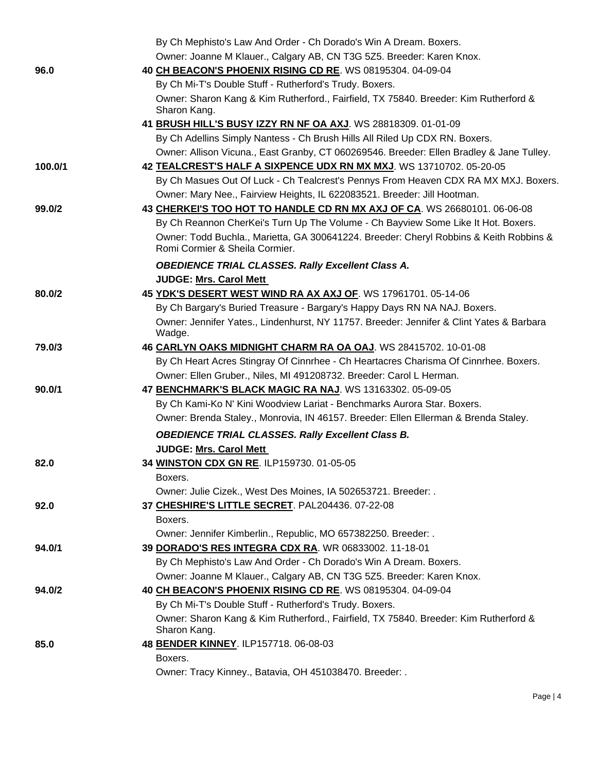|         | By Ch Mephisto's Law And Order - Ch Dorado's Win A Dream. Boxers.                                                        |
|---------|--------------------------------------------------------------------------------------------------------------------------|
|         | Owner: Joanne M Klauer., Calgary AB, CN T3G 5Z5. Breeder: Karen Knox.                                                    |
| 96.0    | 40 CH BEACON'S PHOENIX RISING CD RE. WS 08195304. 04-09-04                                                               |
|         | By Ch Mi-T's Double Stuff - Rutherford's Trudy. Boxers.                                                                  |
|         | Owner: Sharon Kang & Kim Rutherford., Fairfield, TX 75840. Breeder: Kim Rutherford &<br>Sharon Kang.                     |
|         | 41 BRUSH HILL'S BUSY IZZY RN NF OA AXJ. WS 28818309. 01-01-09                                                            |
|         | By Ch Adellins Simply Nantess - Ch Brush Hills All Riled Up CDX RN. Boxers.                                              |
|         | Owner: Allison Vicuna., East Granby, CT 060269546. Breeder: Ellen Bradley & Jane Tulley.                                 |
| 100.0/1 | 42 TEALCREST'S HALF A SIXPENCE UDX RN MX MXJ. WS 13710702. 05-20-05                                                      |
|         | By Ch Masues Out Of Luck - Ch Tealcrest's Pennys From Heaven CDX RA MX MXJ. Boxers.                                      |
|         | Owner: Mary Nee., Fairview Heights, IL 622083521. Breeder: Jill Hootman.                                                 |
| 99.0/2  | 43 CHERKEI'S TOO HOT TO HANDLE CD RN MX AXJ OF CA. WS 26680101. 06-06-08                                                 |
|         | By Ch Reannon CherKei's Turn Up The Volume - Ch Bayview Some Like It Hot. Boxers.                                        |
|         | Owner: Todd Buchla., Marietta, GA 300641224. Breeder: Cheryl Robbins & Keith Robbins &<br>Romi Cormier & Sheila Cormier. |
|         | <b>OBEDIENCE TRIAL CLASSES. Rally Excellent Class A.</b>                                                                 |
|         | <b>JUDGE: Mrs. Carol Mett</b>                                                                                            |
| 80.0/2  | 45 YDK'S DESERT WEST WIND RA AX AXJ OF. WS 17961701. 05-14-06                                                            |
|         | By Ch Bargary's Buried Treasure - Bargary's Happy Days RN NA NAJ. Boxers.                                                |
|         | Owner: Jennifer Yates., Lindenhurst, NY 11757. Breeder: Jennifer & Clint Yates & Barbara<br>Wadge.                       |
| 79.0/3  | 46 CARLYN OAKS MIDNIGHT CHARM RA OA OAJ. WS 28415702. 10-01-08                                                           |
|         | By Ch Heart Acres Stingray Of Cinnrhee - Ch Heartacres Charisma Of Cinnrhee. Boxers.                                     |
|         | Owner: Ellen Gruber., Niles, MI 491208732. Breeder: Carol L Herman.                                                      |
| 90.0/1  | 47 BENCHMARK'S BLACK MAGIC RA NAJ. WS 13163302. 05-09-05                                                                 |
|         | By Ch Kami-Ko N' Kini Woodview Lariat - Benchmarks Aurora Star. Boxers.                                                  |
|         | Owner: Brenda Staley., Monrovia, IN 46157. Breeder: Ellen Ellerman & Brenda Staley.                                      |
|         | <b>OBEDIENCE TRIAL CLASSES. Rally Excellent Class B.</b>                                                                 |
|         | JUDGE: Mrs. Carol Mett                                                                                                   |
| 82.0    | 34 WINSTON CDX GN RE. ILP159730. 01-05-05<br>Boxers.                                                                     |
|         | Owner: Julie Cizek., West Des Moines, IA 502653721. Breeder: .                                                           |
| 92.0    | 37 CHESHIRE'S LITTLE SECRET. PAL204436. 07-22-08                                                                         |
|         | Boxers.                                                                                                                  |
|         | Owner: Jennifer Kimberlin., Republic, MO 657382250. Breeder: .                                                           |
| 94.0/1  | 39 DORADO'S RES INTEGRA CDX RA. WR 06833002. 11-18-01                                                                    |
|         | By Ch Mephisto's Law And Order - Ch Dorado's Win A Dream. Boxers.                                                        |
|         | Owner: Joanne M Klauer., Calgary AB, CN T3G 5Z5. Breeder: Karen Knox.                                                    |
| 94.0/2  | 40 CH BEACON'S PHOENIX RISING CD RE. WS 08195304. 04-09-04                                                               |
|         | By Ch Mi-T's Double Stuff - Rutherford's Trudy. Boxers.                                                                  |
|         | Owner: Sharon Kang & Kim Rutherford., Fairfield, TX 75840. Breeder: Kim Rutherford &<br>Sharon Kang.                     |
| 85.0    | 48 BENDER KINNEY. ILP157718. 06-08-03                                                                                    |
|         | Boxers.                                                                                                                  |
|         | Owner: Tracy Kinney., Batavia, OH 451038470. Breeder: .                                                                  |